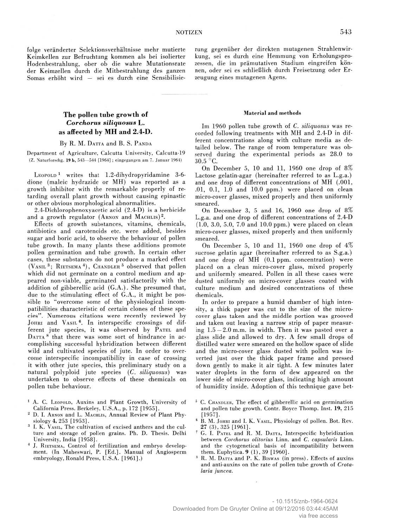folge veränderter Selektionsverhältnisse mehr mutierte Keimkellen zur Befruchtung kommen als bei isolierter Hodenbestrahlung, ober ob die wahre Mutationsrate der Keimzellen durch die Mitbestrahlung des ganzen Somas erhöht wird — sei es durch eine Sensibilisie-

# **The pollen tube growth of** *C o rch o ru s siliq u o su s* **L. as affected by MH and 2.4-D.**

## By R. M. DATTA and B. S. PANDA

Department of Agriculture, Calcutta University, Calcutta-19 **(Z. Naturforschg. 19 b, 543—544 [1964] ; eingegangen am 7. Januar 1964)**

LEOPOLD<sup>1</sup> writes that 1.2-dihydropyridamine 3-6dione (maleic hydrazide or MH) was reported as a growth inhibitor with the remarkable properly of retarding overall plant growth without causing epinastic or other obvious morphological abnormalities.

2.4-Dichlorophenoxyacetic acid (2.4-D) is a herbicide and a growth regulator (ARNON and MACHLIS)<sup>2</sup>.

Effects of growth substances, vitamins, chemicals, antibiotics and carotenoids etc. were added, besides sugar and boric acid, to observe the behaviour of pollen tube growth. In many plants these additions promote pollen germination and tube growth. In certain other cases, these substances do not produce a marked effect (VASIL<sup>3</sup>; RIETSEMA<sup>4</sup>), CHANDLER<sup>5</sup> observed that pollen which did not germinate on a control medium and appeared non-viable, germinated satisfactorily with the addition of gibberellic acid (G.A.). She presumed that, due to the stimulating effect of **G .A .,** it might be possible to "overcome some of the physiological incompatibilities characteristic of certain clones of these species". Numerous citations were recently reviewed by JOHRI and VASIL<sup>6</sup>. In interspecific crossings of different jute species, it was observed by PATEL and DATTA<sup>8</sup> that there was some sort of hindrance in accomplishing successful hybridization between different wild and cultivated species of jute. In order to overcome interspecific incompatibility in case of crossing it with other jute species, this preliminary study on a natural polyploid jute species *(C. siliquosus)* was undertaken to observe effects of these chemicals on pollen tube behaviour.

- <sup>1</sup> A. C. LEOPOLD, Auxins and Plant Growth, University of California Press. Berkeley, U.S.A., p. 172 [1955].
- <sup>2</sup> D. I. ARNON and L. MACHLIS, Annual Review of Plant Physiology 4, 253 [1953].
- <sup>3</sup> I. K. VASIL, The cultivation of excised anthers and the culture and storage of pollen grains. Ph. D. Thesis. Delhi University, India [1958].
- <sup>4</sup> J. RIETSEMA, Control of fertilization and embryo development. (In Maheswari, P. [Ed.]. Manual of Angiosperm embryology, Ronald Press, U.S.A. [1961].)

rung gegenüber der direkten mutagenen Strahlenwirkung, sei es durch eine Hemmung von Erholungsprozessen, die im prämutativen Stadium eingreifen können, oder sei es schließlich durch Freisetzung oder Erzeugung eines mutagenen Agens.

#### **M aterial and m ethods**

Im 1960 pollen tube growth of *C. siliquosus* was recorded following treatments with MH and 2.4-D in different concentrations along with culture media as detailed below. The range of room temperature was observed during the experimental periods as 28.0 to 30.5 °C.

On December 5, 10 and 11, 1960 one drop of 8% Lactose gelatin-agar (hereinafter referred to as L.g.a.) and one drop of different concentrations of MH (.001, .01, 0.1, 1.0 and 10.0 ppm.) were placed on clean micro-cover glasses, mixed properly and then uniformly smeared.

On December 3, 5 and 16, 1960 one drop of 8% L.g.a. and one drop of different concentrations of 2.4-D (1.0, 3.0, 5.0, 7.0 and 10.0 ppm.) were placed on clean micro-cover glasses, mixed properly and then uniformly smeared.

On December 5, 10 and 11, 1960 one drop of *\%* sucrose gelatin agar (hereinafter referred to as S.g.a.) and one drop of MH (0.1 ppm. concentration) were placed on a clean micro-cover glass, mixed properly and uniformly smeared. Pollen in all these cases were dusted uniformly on micro-cover glasses coated with culture medium and desired concentrations of these chemicals.

In order to prepare a humid chamber of high intensity, a thick paper was cut to the size of the microcover glass taken and the middle portion was grooved and taken out leaving a narrow strip of paper measuring  $1.5 - 2.0$  m.m. in width. Then it was pasted over a glass slide and allowed to dry. A few small drops of distilled water were smeared on the hollow space of slide and the micro-cover glass dusted with pollen was inverted just over the thick paper frame and pressed down gently to make it air tight. A few minutes later water droplets in the form of dew appeared on the lower side of micro-cover glass, indicating high amount of humidity inside. Adoption of this technique gave bet-

- $5$  C. CHANDLER, The effect of gibberellic acid on germination and pollen tube growth. Contr. Boyce Thomp. Inst. 19, 215 [1957],
- 6 B. M. JOHRI and I. K. VASIL, Physiology of pollen. Bot. Rev. 27 (3), 325 [1961].
- G. I. PATEL and R. M. DATTA, Interspecific hybridization between *Corchorus olitorius* Linn, and *C. capsularis* Linn, and the cytogenetical basis of incompatibility between them. Euphytica. 9 (1), 39 [1960].
- R. M. DATTA and P. K. BISWAS (in press). Effects of auxins and anti-auxins on the rate of pollen tube growth of *Crotalaria juncea.*